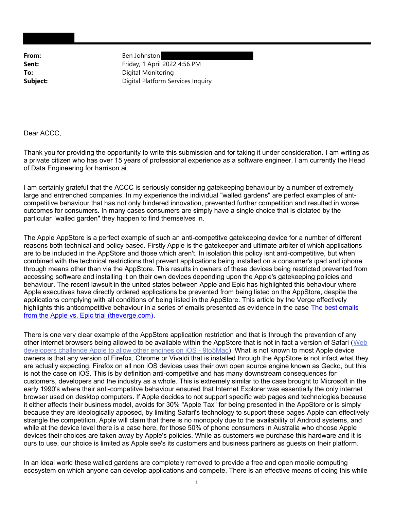From: Ben Johnston **Sent:** Friday, 1 April 2022 4:56 PM To: Digital Monitoring **Subject:** Digital Platform Services Inquiry

Dear ACCC,

Thank you for providing the opportunity to write this submission and for taking it under consideration. I am writing as a private citizen who has over 15 years of professional experience as a software engineer, I am currently the Head of Data Engineering for harrison.ai.

I am certainly grateful that the ACCC is seriously considering gatekeeping behaviour by a number of extremely large and entrenched companies. In my experience the individual "walled gardens" are perfect examples of antcompetitive behaviour that has not only hindered innovation, prevented further competition and resulted in worse outcomes for consumers. In many cases consumers are simply have a single choice that is dictated by the particular "walled garden" they happen to find themselves in.

The Apple AppStore is a perfect example of such an anti-competitve gatekeeping device for a number of different reasons both technical and policy based. Firstly Apple is the gatekeeper and ultimate arbiter of which applications are to be included in the AppStore and those which aren't. In isolation this policy isnt anti-competitive, but when combined with the technical restrictions that prevent applications being installed on a consumer's ipad and iphone through means other than via the AppStore. This results in owners of these devices being restricted prevented from accessing software and installing it on their own devices depending upon the Apple's gatekeeping policies and behaviour. The recent lawsuit in the united states between Apple and Epic has highlighted this behaviour where Apple executives have directly ordered applications be prevented from being listed on the AppStore, despite the applications complying with all conditions of being listed in the AppStore. This article by the Verge effectively highlights this anticompetitive behaviour in a series of emails presented as evidence in the case The best emails from the Apple vs. Epic trial (theverge.com).

There is one very clear example of the AppStore application restriction and that is through the prevention of any other internet browsers being allowed to be available within the AppStore that is not in fact a version of Safari (Web developers challenge Apple to allow other engines on iOS - 9to5Mac). What is not known to most Apple device owners is that any version of Firefox, Chrome or Vivaldi that is installed through the AppStore is not infact what they are actually expecting. Firefox on all non iOS devices uses their own open source engine known as Gecko, but this is not the case on iOS. This is by definition anti-competitve and has many downstream consequences for customers, developers and the industry as a whole. This is extremely similar to the case brought to Microsoft in the early 1990's where their anti-competitve behaviour ensured that Internet Explorer was essentially the only internet browser used on desktop computers. If Apple decides to not support specific web pages and technologies because it either affects their business model, avoids for 30% "Apple Tax" for being presented in the AppStore or is simply because they are ideologically apposed, by limiting Safari's technology to support these pages Apple can effectively strangle the competition. Apple will claim that there is no monopoly due to the availability of Android systems, and while at the device level there is a case here, for those 50% of phone consumers in Australia who choose Apple devices their choices are taken away by Apple's policies. While as customers we purchase this hardware and it is ours to use, our choice is limited as Apple see's its customers and business partners as guests on their platform.

In an ideal world these walled gardens are completely removed to provide a free and open mobile computing ecosystem on which anyone can develop applications and compete. There is an effective means of doing this while